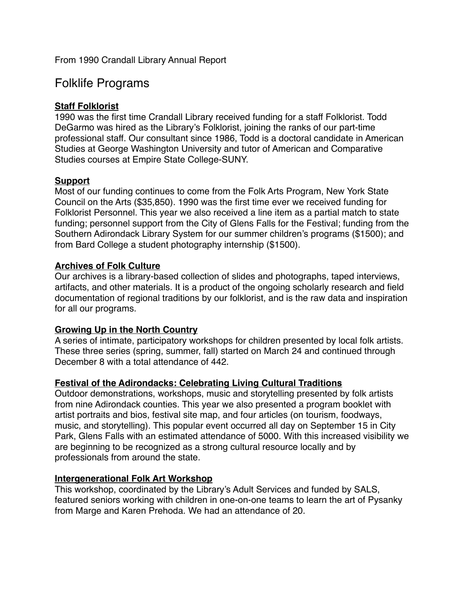# Folklife Programs

# **Staff Folklorist**

1990 was the first time Crandall Library received funding for a staff Folklorist. Todd DeGarmo was hired as the Library's Folklorist, joining the ranks of our part-time professional staff. Our consultant since 1986, Todd is a doctoral candidate in American Studies at George Washington University and tutor of American and Comparative Studies courses at Empire State College-SUNY.

# **Support**

Most of our funding continues to come from the Folk Arts Program, New York State Council on the Arts (\$35,850). 1990 was the first time ever we received funding for Folklorist Personnel. This year we also received a line item as a partial match to state funding; personnel support from the City of Glens Falls for the Festival; funding from the Southern Adirondack Library System for our summer children's programs (\$1500); and from Bard College a student photography internship (\$1500).

# **Archives of Folk Culture**

Our archives is a library-based collection of slides and photographs, taped interviews, artifacts, and other materials. It is a product of the ongoing scholarly research and field documentation of regional traditions by our folklorist, and is the raw data and inspiration for all our programs.

# **Growing Up in the North Country**

A series of intimate, participatory workshops for children presented by local folk artists. These three series (spring, summer, fall) started on March 24 and continued through December 8 with a total attendance of 442.

## **Festival of the Adirondacks: Celebrating Living Cultural Traditions**

Outdoor demonstrations, workshops, music and storytelling presented by folk artists from nine Adirondack counties. This year we also presented a program booklet with artist portraits and bios, festival site map, and four articles (on tourism, foodways, music, and storytelling). This popular event occurred all day on September 15 in City Park, Glens Falls with an estimated attendance of 5000. With this increased visibility we are beginning to be recognized as a strong cultural resource locally and by professionals from around the state.

## **Intergenerational Folk Art Workshop**

This workshop, coordinated by the Library's Adult Services and funded by SALS, featured seniors working with children in one-on-one teams to learn the art of Pysanky from Marge and Karen Prehoda. We had an attendance of 20.